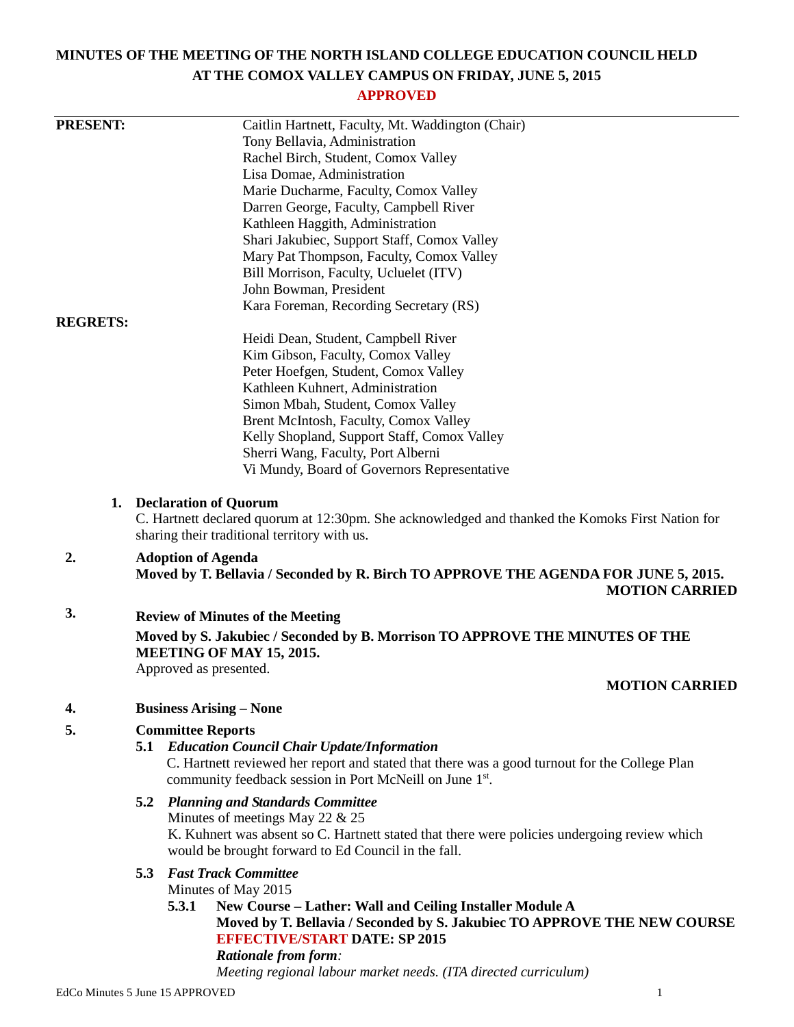# **MINUTES OF THE MEETING OF THE NORTH ISLAND COLLEGE EDUCATION COUNCIL HELD AT THE COMOX VALLEY CAMPUS ON FRIDAY, JUNE 5, 2015**

# **APPROVED**

| <b>PRESENT:</b> |                                                                                                  | Caitlin Hartnett, Faculty, Mt. Waddington (Chair)                                                            |  |
|-----------------|--------------------------------------------------------------------------------------------------|--------------------------------------------------------------------------------------------------------------|--|
|                 |                                                                                                  | Tony Bellavia, Administration                                                                                |  |
|                 |                                                                                                  | Rachel Birch, Student, Comox Valley                                                                          |  |
|                 |                                                                                                  | Lisa Domae, Administration                                                                                   |  |
|                 |                                                                                                  | Marie Ducharme, Faculty, Comox Valley                                                                        |  |
|                 |                                                                                                  | Darren George, Faculty, Campbell River                                                                       |  |
|                 |                                                                                                  | Kathleen Haggith, Administration                                                                             |  |
|                 |                                                                                                  | Shari Jakubiec, Support Staff, Comox Valley                                                                  |  |
|                 |                                                                                                  | Mary Pat Thompson, Faculty, Comox Valley                                                                     |  |
|                 |                                                                                                  | Bill Morrison, Faculty, Ucluelet (ITV)                                                                       |  |
|                 |                                                                                                  | John Bowman, President                                                                                       |  |
|                 |                                                                                                  | Kara Foreman, Recording Secretary (RS)                                                                       |  |
| <b>REGRETS:</b> |                                                                                                  |                                                                                                              |  |
|                 |                                                                                                  | Heidi Dean, Student, Campbell River                                                                          |  |
|                 |                                                                                                  | Kim Gibson, Faculty, Comox Valley                                                                            |  |
|                 |                                                                                                  | Peter Hoefgen, Student, Comox Valley                                                                         |  |
|                 |                                                                                                  | Kathleen Kuhnert, Administration                                                                             |  |
|                 |                                                                                                  | Simon Mbah, Student, Comox Valley                                                                            |  |
|                 |                                                                                                  | Brent McIntosh, Faculty, Comox Valley                                                                        |  |
|                 |                                                                                                  | Kelly Shopland, Support Staff, Comox Valley                                                                  |  |
|                 |                                                                                                  | Sherri Wang, Faculty, Port Alberni                                                                           |  |
|                 |                                                                                                  | Vi Mundy, Board of Governors Representative                                                                  |  |
| 1.              |                                                                                                  |                                                                                                              |  |
|                 | <b>Declaration of Quorum</b>                                                                     |                                                                                                              |  |
|                 | C. Hartnett declared quorum at 12:30pm. She acknowledged and thanked the Komoks First Nation for |                                                                                                              |  |
|                 |                                                                                                  | sharing their traditional territory with us.                                                                 |  |
| 2.              | <b>Adoption of Agenda</b>                                                                        |                                                                                                              |  |
|                 |                                                                                                  | Moved by T. Bellavia / Seconded by R. Birch TO APPROVE THE AGENDA FOR JUNE 5, 2015.<br><b>MOTION CARRIED</b> |  |
| 3.              |                                                                                                  | <b>Review of Minutes of the Meeting</b>                                                                      |  |
|                 |                                                                                                  |                                                                                                              |  |
|                 | Moved by S. Jakubiec / Seconded by B. Morrison TO APPROVE THE MINUTES OF THE                     |                                                                                                              |  |
|                 | MEETING OF MAY 15, 2015.<br>Approved as presented.                                               |                                                                                                              |  |
|                 |                                                                                                  | <b>MOTION CARRIED</b>                                                                                        |  |
|                 |                                                                                                  |                                                                                                              |  |
| 4.              | <b>Business Arising – None</b>                                                                   |                                                                                                              |  |
| 5.              |                                                                                                  | <b>Committee Reports</b>                                                                                     |  |
|                 |                                                                                                  | <b>5.1 Education Council Chair Update/Information</b>                                                        |  |
|                 |                                                                                                  | C. Hartnett reviewed her report and stated that there was a good turnout for the College Plan                |  |
|                 |                                                                                                  | community feedback session in Port McNeill on June 1st.                                                      |  |
|                 |                                                                                                  | <b>5.2 Planning and Standards Committee</b>                                                                  |  |
|                 |                                                                                                  | Minutes of meetings May 22 $& 25$                                                                            |  |
|                 |                                                                                                  | K. Kuhnert was absent so C. Hartnett stated that there were policies undergoing review which                 |  |
|                 |                                                                                                  | would be brought forward to Ed Council in the fall.                                                          |  |
|                 |                                                                                                  |                                                                                                              |  |
|                 | 5.3                                                                                              | <b>Fast Track Committee</b>                                                                                  |  |
|                 |                                                                                                  | Minutes of May 2015                                                                                          |  |
|                 |                                                                                                  | New Course - Lather: Wall and Ceiling Installer Module A<br>5.3.1                                            |  |
|                 |                                                                                                  | Moved by T. Bellavia / Seconded by S. Jakubiec TO APPROVE THE NEW COURSE                                     |  |
|                 |                                                                                                  | <b>EFFECTIVE/START DATE: SP 2015</b>                                                                         |  |
|                 |                                                                                                  | <b>Rationale from form:</b><br>Meeting regional labour market needs. (ITA directed curriculum)               |  |
|                 |                                                                                                  |                                                                                                              |  |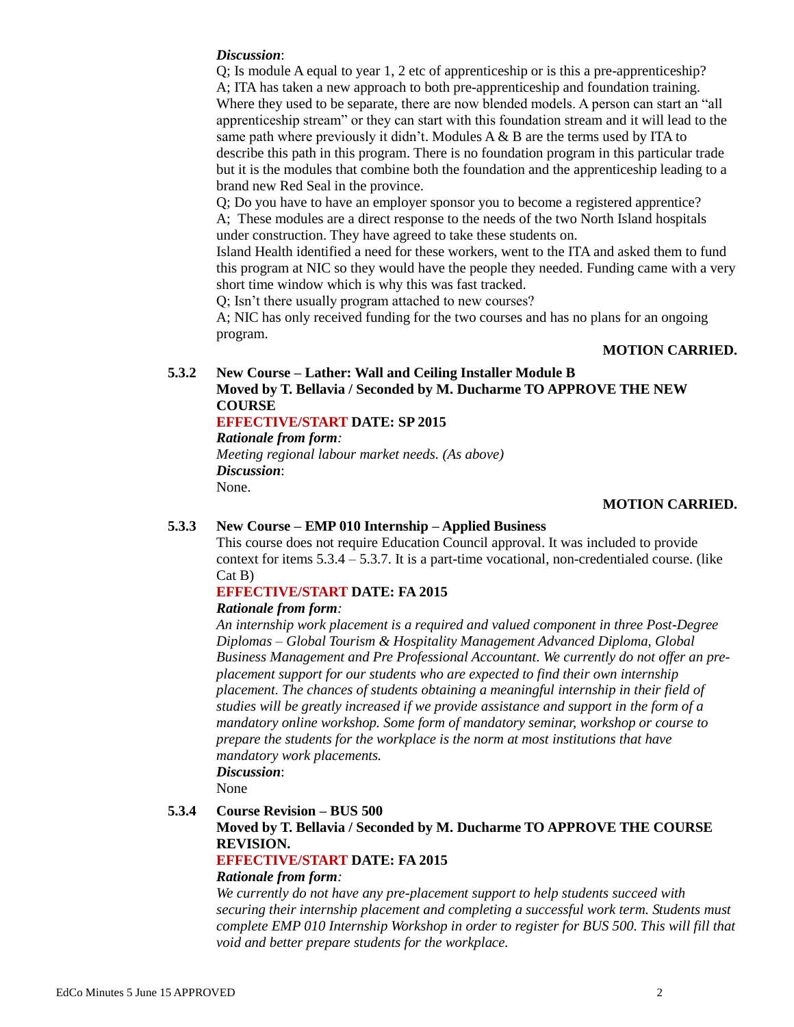#### *Discussion*:

Q; Is module A equal to year 1, 2 etc of apprenticeship or is this a pre-apprenticeship? A; ITA has taken a new approach to both pre-apprenticeship and foundation training. Where they used to be separate, there are now blended models. A person can start an "all" apprenticeship stream" or they can start with this foundation stream and it will lead to the same path where previously it didn't. Modules  $A \& B$  are the terms used by ITA to describe this path in this program. There is no foundation program in this particular trade but it is the modules that combine both the foundation and the apprenticeship leading to a brand new Red Seal in the province.

Q; Do you have to have an employer sponsor you to become a registered apprentice? A; These modules are a direct response to the needs of the two North Island hospitals under construction. They have agreed to take these students on.

Island Health identified a need for these workers, went to the ITA and asked them to fund this program at NIC so they would have the people they needed. Funding came with a very short time window which is why this was fast tracked.

Q; Isn't there usually program attached to new courses?

A; NIC has only received funding for the two courses and has no plans for an ongoing program.

## **MOTION CARRIED.**

# **5.3.2 New Course – Lather: Wall and Ceiling Installer Module B Moved by T. Bellavia / Seconded by M. Ducharme TO APPROVE THE NEW COURSE**

## **EFFECTIVE/START DATE: SP 2015**

*Rationale from form:*

*Meeting regional labour market needs. (As above) Discussion*: None.

#### **MOTION CARRIED.**

#### **5.3.3 New Course – EMP 010 Internship – Applied Business**

This course does not require Education Council approval. It was included to provide context for items  $5.3.4 - 5.3.7$ . It is a part-time vocational, non-credentialed course. (like Cat B)

## **EFFECTIVE/START DATE: FA 2015**

#### *Rationale from form:*

*An internship work placement is a required and valued component in three Post-Degree Diplomas – Global Tourism & Hospitality Management Advanced Diploma, Global Business Management and Pre Professional Accountant. We currently do not offer an preplacement support for our students who are expected to find their own internship placement. The chances of students obtaining a meaningful internship in their field of studies will be greatly increased if we provide assistance and support in the form of a mandatory online workshop. Some form of mandatory seminar, workshop or course to prepare the students for the workplace is the norm at most institutions that have mandatory work placements.*

*Discussion*:

None

#### **5.3.4 Course Revision – BUS 500**

**Moved by T. Bellavia / Seconded by M. Ducharme TO APPROVE THE COURSE REVISION.**

#### **EFFECTIVE/START DATE: FA 2015**

#### *Rationale from form:*

*We currently do not have any pre-placement support to help students succeed with securing their internship placement and completing a successful work term. Students must complete EMP 010 Internship Workshop in order to register for BUS 500. This will fill that void and better prepare students for the workplace.*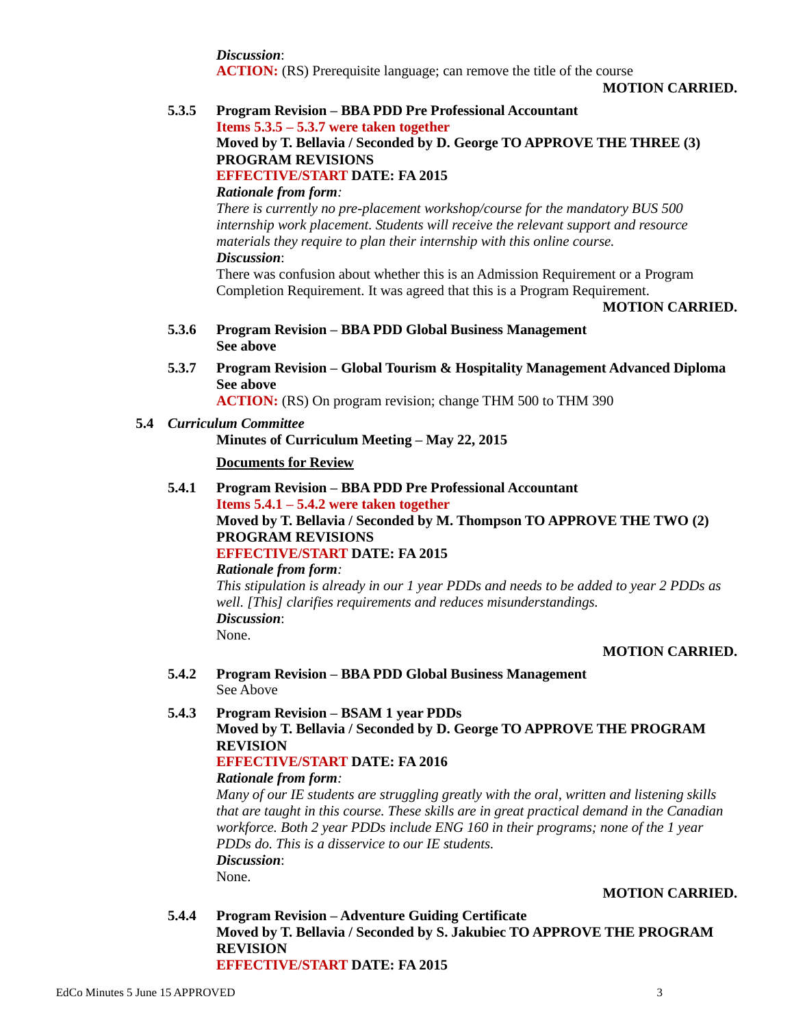*Discussion*:

**ACTION:** (RS) Prerequisite language; can remove the title of the course

**MOTION CARRIED.**

# **5.3.5 Program Revision – BBA PDD Pre Professional Accountant Items 5.3.5 – 5.3.7 were taken together Moved by T. Bellavia / Seconded by D. George TO APPROVE THE THREE (3) PROGRAM REVISIONS EFFECTIVE/START DATE: FA 2015**

*Rationale from form:*

*There is currently no pre-placement workshop/course for the mandatory BUS 500 internship work placement. Students will receive the relevant support and resource materials they require to plan their internship with this online course. Discussion*:

There was confusion about whether this is an Admission Requirement or a Program Completion Requirement. It was agreed that this is a Program Requirement.

#### **MOTION CARRIED.**

- **5.3.6 Program Revision – BBA PDD Global Business Management See above**
- **5.3.7 Program Revision – Global Tourism & Hospitality Management Advanced Diploma See above**

**ACTION:** (RS) On program revision; change THM 500 to THM 390

**5.4** *Curriculum Committee*

## **Minutes of Curriculum Meeting – May 22, 2015**

## **Documents for Review**

**5.4.1 Program Revision – BBA PDD Pre Professional Accountant Items 5.4.1 – 5.4.2 were taken together Moved by T. Bellavia / Seconded by M. Thompson TO APPROVE THE TWO (2) PROGRAM REVISIONS EFFECTIVE/START DATE: FA 2015** *Rationale from form:*

*This stipulation is already in our 1 year PDDs and needs to be added to year 2 PDDs as well. [This] clarifies requirements and reduces misunderstandings. Discussion*: None.

## **MOTION CARRIED.**

**5.4.2 Program Revision – BBA PDD Global Business Management** See Above

### **5.4.3 Program Revision – BSAM 1 year PDDs Moved by T. Bellavia / Seconded by D. George TO APPROVE THE PROGRAM REVISION EFFECTIVE/START DATE: FA 2016**

# *Rationale from form:*

*Many of our IE students are struggling greatly with the oral, written and listening skills that are taught in this course. These skills are in great practical demand in the Canadian workforce. Both 2 year PDDs include ENG 160 in their programs; none of the 1 year PDDs do. This is a disservice to our IE students. Discussion*:

None.

# **MOTION CARRIED.**

**5.4.4 Program Revision – Adventure Guiding Certificate Moved by T. Bellavia / Seconded by S. Jakubiec TO APPROVE THE PROGRAM REVISION EFFECTIVE/START DATE: FA 2015**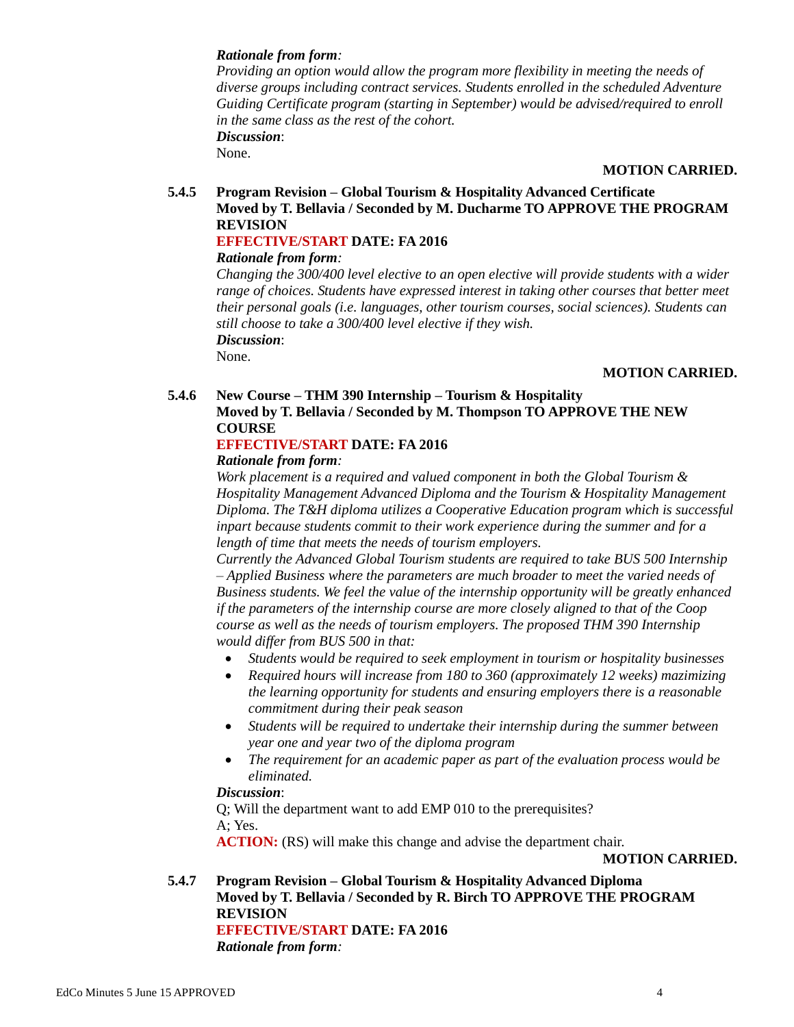### *Rationale from form:*

*Providing an option would allow the program more flexibility in meeting the needs of diverse groups including contract services. Students enrolled in the scheduled Adventure Guiding Certificate program (starting in September) would be advised/required to enroll in the same class as the rest of the cohort. Discussion*:

None.

#### **MOTION CARRIED.**

### **5.4.5 Program Revision – Global Tourism & Hospitality Advanced Certificate Moved by T. Bellavia / Seconded by M. Ducharme TO APPROVE THE PROGRAM REVISION EFFECTIVE/START DATE: FA 2016**

# *Rationale from form:*

*Changing the 300/400 level elective to an open elective will provide students with a wider range of choices. Students have expressed interest in taking other courses that better meet their personal goals (i.e. languages, other tourism courses, social sciences). Students can still choose to take a 300/400 level elective if they wish. Discussion*:

None.

#### **MOTION CARRIED.**

## **5.4.6 New Course – THM 390 Internship – Tourism & Hospitality Moved by T. Bellavia / Seconded by M. Thompson TO APPROVE THE NEW COURSE**

## **EFFECTIVE/START DATE: FA 2016**

#### *Rationale from form:*

*Work placement is a required and valued component in both the Global Tourism & Hospitality Management Advanced Diploma and the Tourism & Hospitality Management Diploma. The T&H diploma utilizes a Cooperative Education program which is successful inpart because students commit to their work experience during the summer and for a length of time that meets the needs of tourism employers.*

*Currently the Advanced Global Tourism students are required to take BUS 500 Internship – Applied Business where the parameters are much broader to meet the varied needs of Business students. We feel the value of the internship opportunity will be greatly enhanced if the parameters of the internship course are more closely aligned to that of the Coop course as well as the needs of tourism employers. The proposed THM 390 Internship would differ from BUS 500 in that:*

- *Students would be required to seek employment in tourism or hospitality businesses*
- *Required hours will increase from 180 to 360 (approximately 12 weeks) mazimizing the learning opportunity for students and ensuring employers there is a reasonable commitment during their peak season*
- *Students will be required to undertake their internship during the summer between year one and year two of the diploma program*
- *The requirement for an academic paper as part of the evaluation process would be eliminated.*

#### *Discussion*:

Q; Will the department want to add EMP 010 to the prerequisites? A; Yes.

**ACTION:** (RS) will make this change and advise the department chair.

**MOTION CARRIED.**

**5.4.7 Program Revision – Global Tourism & Hospitality Advanced Diploma Moved by T. Bellavia / Seconded by R. Birch TO APPROVE THE PROGRAM REVISION EFFECTIVE/START DATE: FA 2016**

*Rationale from form:*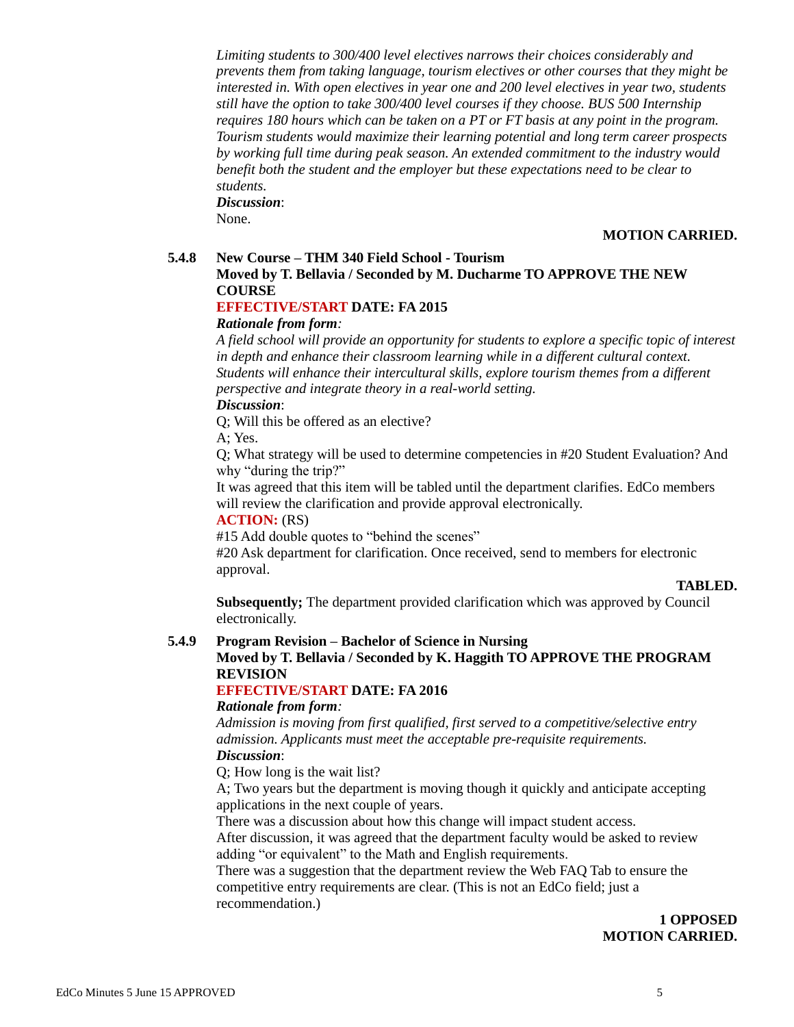*Limiting students to 300/400 level electives narrows their choices considerably and prevents them from taking language, tourism electives or other courses that they might be interested in. With open electives in year one and 200 level electives in year two, students still have the option to take 300/400 level courses if they choose. BUS 500 Internship requires 180 hours which can be taken on a PT or FT basis at any point in the program. Tourism students would maximize their learning potential and long term career prospects by working full time during peak season. An extended commitment to the industry would benefit both the student and the employer but these expectations need to be clear to students.*

#### *Discussion*:

None.

## **MOTION CARRIED.**

### **5.4.8 New Course – THM 340 Field School - Tourism**

## **Moved by T. Bellavia / Seconded by M. Ducharme TO APPROVE THE NEW COURSE**

# **EFFECTIVE/START DATE: FA 2015**

## *Rationale from form:*

*A field school will provide an opportunity for students to explore a specific topic of interest in depth and enhance their classroom learning while in a different cultural context. Students will enhance their intercultural skills, explore tourism themes from a different perspective and integrate theory in a real-world setting.*

## *Discussion*:

Q; Will this be offered as an elective?

A; Yes.

Q; What strategy will be used to determine competencies in #20 Student Evaluation? And why "during the trip?"

It was agreed that this item will be tabled until the department clarifies. EdCo members will review the clarification and provide approval electronically.

## **ACTION:** (RS)

#15 Add double quotes to "behind the scenes"

#20 Ask department for clarification. Once received, send to members for electronic approval.

#### **TABLED.**

**Subsequently;** The department provided clarification which was approved by Council electronically.

#### **5.4.9 Program Revision – Bachelor of Science in Nursing**

## **Moved by T. Bellavia / Seconded by K. Haggith TO APPROVE THE PROGRAM REVISION**

## **EFFECTIVE/START DATE: FA 2016**

#### *Rationale from form:*

*Admission is moving from first qualified, first served to a competitive/selective entry admission. Applicants must meet the acceptable pre-requisite requirements. Discussion*:

Q; How long is the wait list?

A; Two years but the department is moving though it quickly and anticipate accepting applications in the next couple of years.

There was a discussion about how this change will impact student access.

After discussion, it was agreed that the department faculty would be asked to review adding "or equivalent" to the Math and English requirements.

There was a suggestion that the department review the Web FAQ Tab to ensure the competitive entry requirements are clear. (This is not an EdCo field; just a recommendation.)

> **1 OPPOSED MOTION CARRIED.**